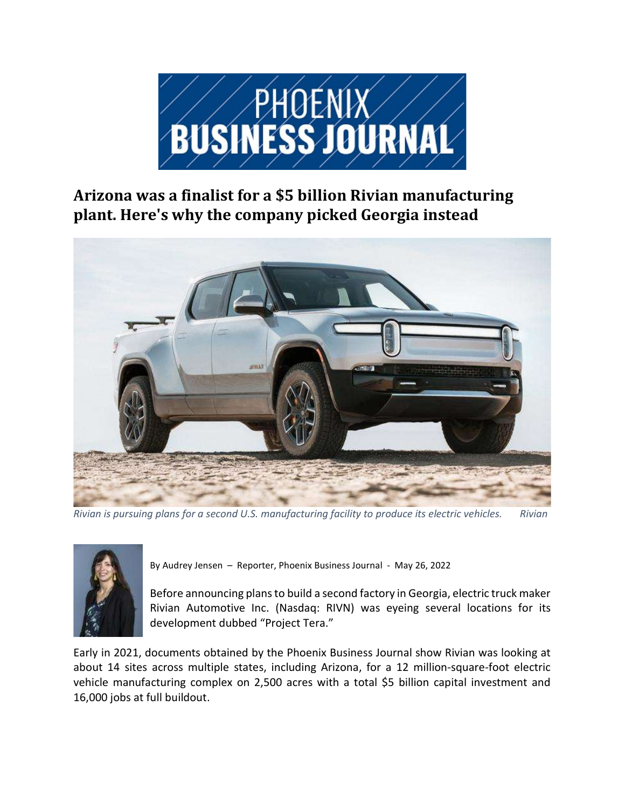

Arizona was a finalist for a \$5 billion Rivian manufacturing plant. Here's why the company picked Georgia instead



Rivian is pursuing plans for a second U.S. manufacturing facility to produce its electric vehicles. Rivian



By Audrey Jensen – Reporter, Phoenix Business Journal - May 26, 2022

Before announcing plans to build a second factory in Georgia, electric truck maker Rivian Automotive Inc. (Nasdaq: RIVN) was eyeing several locations for its development dubbed "Project Tera."

Early in 2021, documents obtained by the Phoenix Business Journal show Rivian was looking at about 14 sites across multiple states, including Arizona, for a 12 million-square-foot electric vehicle manufacturing complex on 2,500 acres with a total \$5 billion capital investment and 16,000 jobs at full buildout.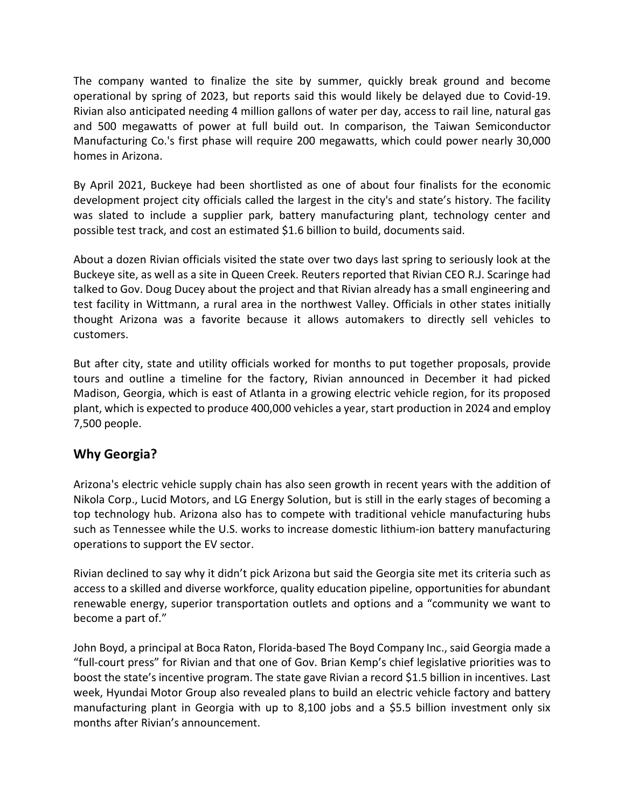The company wanted to finalize the site by summer, quickly break ground and become operational by spring of 2023, but reports said this would likely be delayed due to Covid-19. Rivian also anticipated needing 4 million gallons of water per day, access to rail line, natural gas and 500 megawatts of power at full build out. In comparison, the Taiwan Semiconductor Manufacturing Co.'s first phase will require 200 megawatts, which could power nearly 30,000 homes in Arizona.

By April 2021, Buckeye had been shortlisted as one of about four finalists for the economic development project city officials called the largest in the city's and state's history. The facility was slated to include a supplier park, battery manufacturing plant, technology center and possible test track, and cost an estimated \$1.6 billion to build, documents said.

About a dozen Rivian officials visited the state over two days last spring to seriously look at the Buckeye site, as well as a site in Queen Creek. Reuters reported that Rivian CEO R.J. Scaringe had talked to Gov. Doug Ducey about the project and that Rivian already has a small engineering and test facility in Wittmann, a rural area in the northwest Valley. Officials in other states initially thought Arizona was a favorite because it allows automakers to directly sell vehicles to customers.

But after city, state and utility officials worked for months to put together proposals, provide tours and outline a timeline for the factory, Rivian announced in December it had picked Madison, Georgia, which is east of Atlanta in a growing electric vehicle region, for its proposed plant, which is expected to produce 400,000 vehicles a year, start production in 2024 and employ 7,500 people.

## Why Georgia?

Arizona's electric vehicle supply chain has also seen growth in recent years with the addition of Nikola Corp., Lucid Motors, and LG Energy Solution, but is still in the early stages of becoming a top technology hub. Arizona also has to compete with traditional vehicle manufacturing hubs such as Tennessee while the U.S. works to increase domestic lithium-ion battery manufacturing operations to support the EV sector.

Rivian declined to say why it didn't pick Arizona but said the Georgia site met its criteria such as access to a skilled and diverse workforce, quality education pipeline, opportunities for abundant renewable energy, superior transportation outlets and options and a "community we want to become a part of."

John Boyd, a principal at Boca Raton, Florida-based The Boyd Company Inc., said Georgia made a "full-court press" for Rivian and that one of Gov. Brian Kemp's chief legislative priorities was to boost the state's incentive program. The state gave Rivian a record \$1.5 billion in incentives. Last week, Hyundai Motor Group also revealed plans to build an electric vehicle factory and battery manufacturing plant in Georgia with up to 8,100 jobs and a \$5.5 billion investment only six months after Rivian's announcement.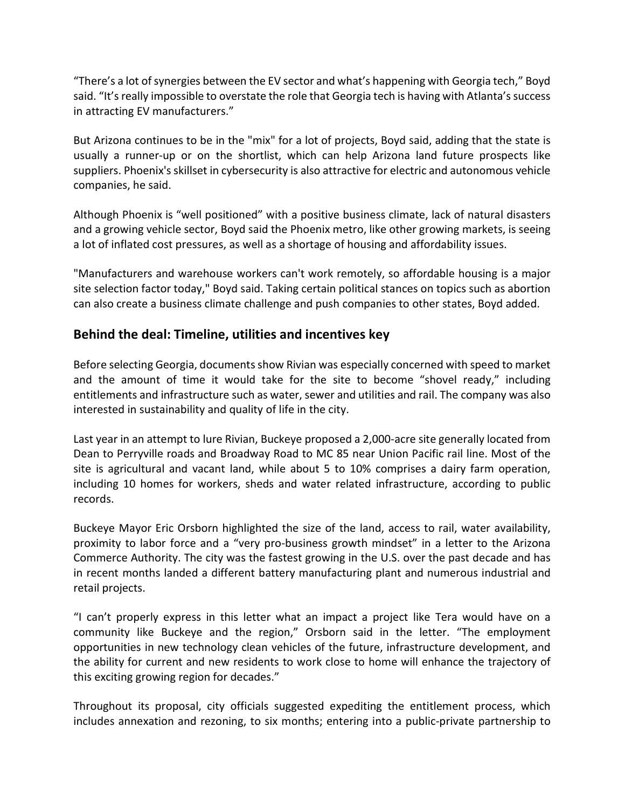"There's a lot of synergies between the EV sector and what's happening with Georgia tech," Boyd said. "It's really impossible to overstate the role that Georgia tech is having with Atlanta's success in attracting EV manufacturers."

But Arizona continues to be in the "mix" for a lot of projects, Boyd said, adding that the state is usually a runner-up or on the shortlist, which can help Arizona land future prospects like suppliers. Phoenix's skillset in cybersecurity is also attractive for electric and autonomous vehicle companies, he said.

Although Phoenix is "well positioned" with a positive business climate, lack of natural disasters and a growing vehicle sector, Boyd said the Phoenix metro, like other growing markets, is seeing a lot of inflated cost pressures, as well as a shortage of housing and affordability issues.

"Manufacturers and warehouse workers can't work remotely, so affordable housing is a major site selection factor today," Boyd said. Taking certain political stances on topics such as abortion can also create a business climate challenge and push companies to other states, Boyd added.

## Behind the deal: Timeline, utilities and incentives key

Before selecting Georgia, documents show Rivian was especially concerned with speed to market and the amount of time it would take for the site to become "shovel ready," including entitlements and infrastructure such as water, sewer and utilities and rail. The company was also interested in sustainability and quality of life in the city.

Last year in an attempt to lure Rivian, Buckeye proposed a 2,000-acre site generally located from Dean to Perryville roads and Broadway Road to MC 85 near Union Pacific rail line. Most of the site is agricultural and vacant land, while about 5 to 10% comprises a dairy farm operation, including 10 homes for workers, sheds and water related infrastructure, according to public records.

Buckeye Mayor Eric Orsborn highlighted the size of the land, access to rail, water availability, proximity to labor force and a "very pro-business growth mindset" in a letter to the Arizona Commerce Authority. The city was the fastest growing in the U.S. over the past decade and has in recent months landed a different battery manufacturing plant and numerous industrial and retail projects.

"I can't properly express in this letter what an impact a project like Tera would have on a community like Buckeye and the region," Orsborn said in the letter. "The employment opportunities in new technology clean vehicles of the future, infrastructure development, and the ability for current and new residents to work close to home will enhance the trajectory of this exciting growing region for decades."

Throughout its proposal, city officials suggested expediting the entitlement process, which includes annexation and rezoning, to six months; entering into a public-private partnership to